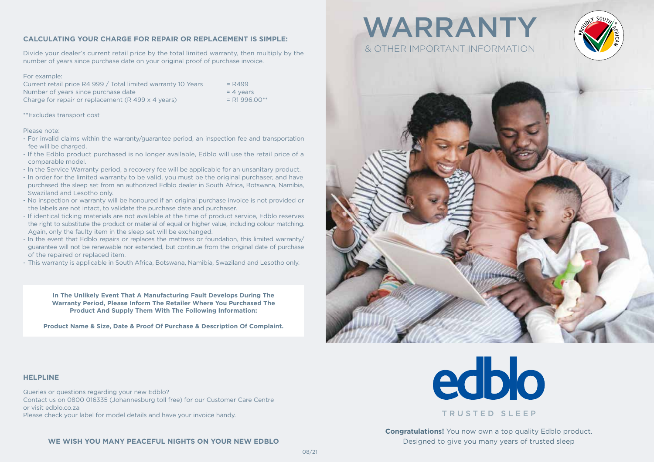## **CALCULATING YOUR CHARGE FOR REPAIR OR REPLACEMENT IS SIMPLE:**

Divide your dealer's current retail price by the total limited warranty, then multiply by the number of years since purchase date on your original proof of purchase invoice.

#### For example:

Current retail price R4 999 / Total limited warranty 10 Years  $= R499$ Number of years since purchase date  $= 4$  years Charge for repair or replacement  $(R 499 \times 4 \text{ years})$  = R1 996.00\*\*

\*\*Excludes transport cost

#### Please note:

- For invalid claims within the warranty/guarantee period, an inspection fee and transportation fee will be charged.
- If the Edblo product purchased is no longer available, Edblo will use the retail price of a comparable model.
- In the Service Warranty period, a recovery fee will be applicable for an unsanitary product.
- In order for the limited warranty to be valid, you must be the original purchaser, and have purchased the sleep set from an authorized Edblo dealer in South Africa, Botswana, Namibia, Swaziland and Lesotho only.
- No inspection or warranty will be honoured if an original purchase invoice is not provided or the labels are not intact, to validate the purchase date and purchaser.
- If identical ticking materials are not available at the time of product service, Edblo reserves the right to substitute the product or material of equal or higher value, including colour matching. Again, only the faulty item in the sleep set will be exchanged.
- In the event that Edblo repairs or replaces the mattress or foundation, this limited warranty/ guarantee will not be renewable nor extended, but continue from the original date of purchase of the repaired or replaced item.
- This warranty is applicable in South Africa, Botswana, Namibia, Swaziland and Lesotho only.

**In The Unlikely Event That A Manufacturing Fault Develops During The Warranty Period, Please Inform The Retailer Where You Purchased The Product And Supply Them With The Following Information:** 

**Product Name & Size, Date & Proof Of Purchase & Description Of Complaint.**

# WARRANTY & OTHER IMPORTANT INFORMATION





## **HELPLINE**

Queries or questions regarding your new Edblo? Contact us on 0800 016335 (Johannesburg toll free) for our Customer Care Centre or visit edblo.co.za Please check your label for model details and have your invoice handy.



**Congratulations!** You now own a top quality Edblo product. Designed to give you many years of trusted sleep